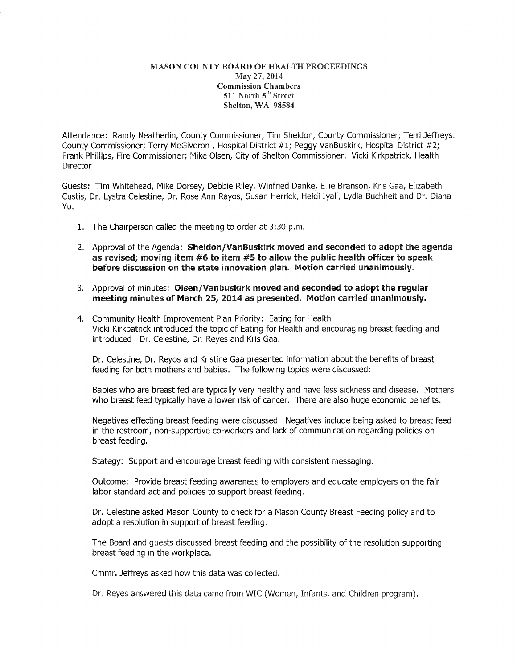## MASON COUNTY BOARD OF HEALTH PROCEEDINGS May 27, 2014 Commission Chambers 511 North 5<sup>th</sup> Street Shelton, WA 98584

Attendance: Randy Neatherlin, County Commissioner; Tim Sheldon, County Commissioner; Terri Jeffreys. County Commissioner; Terry MeGiveron, Hospital District #1; Peggy VanBuskirk, Hospital District #2; Frank Phillips, Fire Commissioner; Mike Olsen, City of Shelton Commissioner. Vicki Kirkpatrick. Health Director

Guests: Tim Whitehead, Mike Dorsey, Debbie Riley, Winfried Danke, Ellie Branson, Kris Gaa, Elizabeth Custis, Dr. Lystra Celestine, Dr. Rose Ann Rayos, Susan Herrick, Heidi Iyall, Lydia Buchheit and Dr. Diana Yu.

- 1. The Chairperson called the meeting to order at 3:30 p.m.
- 2. Approval of the Agenda: Sheldon/VanBuskirk moved and seconded to adopt the agenda as revised; moving item #6 to item #5 to allow the public health officer to speak before discussion on the state innovation plan. Motion carried unanimously.
- 3. Approval of minutes: Olsen/Vanbuskirk moved and seconded to adopt the regular meeting minutes of March 25, 2014 as presented. Motion carried unanimously.
- 4. Community Health Improvement Plan Priority: Eating for Health Vicki Kirkpatrick introduced the topic of Eating for Health and encouraging breast feeding and introduced Dr. Celestine, Dr. Reyes and Kris Gaa.

Dr. Celestine, Dr. Reyos and Kristine Gaa presented information about the benefits of breast feeding for both mothers and babies. The following topics were discussed:

Babies who are breast fed are typically very healthy and have less sickness and disease. Mothers who breast feed typically have a lower risk of cancer. There are also huge economic benefits.

Negatives effecting breast feeding were discussed. Negatives include being asked to breast feed in the restroom, non-supportive co-workers and lack of communication regarding policies on breast feeding.

Stategy: Support and encourage breast feeding with consistent messaging.

Outcome: Provide breast feeding awareness to employers and educate employers on the fair labor standard act and policies to support breast feeding.

Dr. Celestine asked Mason County to check for a Mason County Breast Feeding policy and to adopt a resolution in support of breast feeding.

The Board and guests discussed breast feeding and the possibility of the resolution supporting breast feeding in the workplace.

Cmmr. Jeffreys asked how this data was collected.

Dr. Reyes answered this data came from WIC (Women, Infants, and Children program).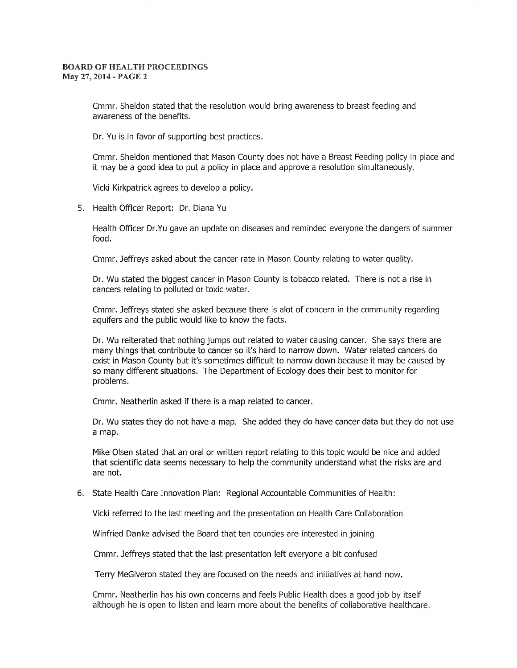## BOARD OF HEALTH PROCEEDINGS May 27, 2014 - PAGE 2

Cmmr. Sheldon stated that the resolution would bring awareness to breast feeding and awareness of the benefits.

Dr. Yu is in favor of supporting best practices.

Cmmr. Sheldon mentioned that Mason County does not have a Breast Feeding policy in place and it may be a good idea to put a policy in place and approve a resolution simultaneously.

Vicki Kirkpatrick agrees to develop a policy.

5. Health Officer Report: Dr. Diana Yu

Health Officer Dr.Yu gave an update on diseases and reminded everyone the dangers of summer food.

Cmmr. Jeffreys asked about the cancer rate in Mason County relating to water quality.

Dr. Wu stated the biggest cancer in Mason County is tobacco related. There is not a rise in cancers relating to polluted or toxic water.

Cmmr. Jeffreys stated she asked because there is alot of concern in the community regarding aquifers and the public would like to know the facts.

Dr. Wu reiterated that nothing jumps out related to water causing cancer. She says there are many things that contribute to cancer so it's hard to narrow down. Water related cancers do exist in Mason County but it's sometimes difficult to narrow down because it may be caused by so many different situations. The Department of Ecology does their best to monitor for problems.

Cmmr. Neatherlin asked if there is a map related to cancer.

Dr. Wu states they do not have a map. She added they do have cancer data but they do not use a map.

Mike Olsen stated that an oral or written report relating to this topic would be nice and added that scientific data seems necessary to help the community understand what the risks are and are not.

## 6. State Health Care Innovation Plan: Regional Accountable Communities of Health:

Vicki referred to the last meeting and the presentation on Health Care Collaboration

Winfried Danke advised the Board that ten counties are interested in joining

Cmmr. Jeffreys stated that the last presentation left everyone a bit confused

Terry MeGiveron stated they are focused on the needs and initiatives at hand now.

Cmmr. Neatherlin has his own concerns and feels Public Health does a good job by itself although he is open to listen and learn more about the benefits of collaborative healthcare.